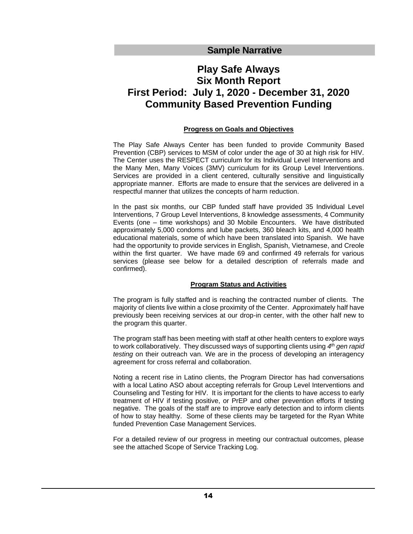**Sample Narrative**

# **Play Safe Always Six Month Report First Period: July 1, 2020 - December 31, 2020 Community Based Prevention Funding**

# **Progress on Goals and Objectives**

The Play Safe Always Center has been funded to provide Community Based Prevention (CBP) services to MSM of color under the age of 30 at high risk for HIV. The Center uses the RESPECT curriculum for its Individual Level Interventions and the Many Men, Many Voices (3MV) curriculum for its Group Level Interventions. Services are provided in a client centered, culturally sensitive and linguistically appropriate manner. Efforts are made to ensure that the services are delivered in a respectful manner that utilizes the concepts of harm reduction.

In the past six months, our CBP funded staff have provided 35 Individual Level Interventions, 7 Group Level Interventions, 8 knowledge assessments, 4 Community Events (one – time workshops) and 30 Mobile Encounters. We have distributed approximately 5,000 condoms and lube packets, 360 bleach kits, and 4,000 health educational materials, some of which have been translated into Spanish. We have had the opportunity to provide services in English, Spanish, Vietnamese, and Creole within the first quarter. We have made 69 and confirmed 49 referrals for various services (please see below for a detailed description of referrals made and confirmed).

# **Program Status and Activities**

The program is fully staffed and is reaching the contracted number of clients. The majority of clients live within a close proximity of the Center. Approximately half have previously been receiving services at our drop-in center, with the other half new to the program this quarter.

The program staff has been meeting with staff at other health centers to explore ways to work collaboratively. They discussed ways of supporting clients using *4 th gen rapid testing* on their outreach van. We are in the process of developing an interagency agreement for cross referral and collaboration.

Noting a recent rise in Latino clients, the Program Director has had conversations with a local Latino ASO about accepting referrals for Group Level Interventions and Counseling and Testing for HIV. It is important for the clients to have access to early treatment of HIV if testing positive, or PrEP and other prevention efforts if testing negative. The goals of the staff are to improve early detection and to inform clients of how to stay healthy. Some of these clients may be targeted for the Ryan White funded Prevention Case Management Services.

For a detailed review of our progress in meeting our contractual outcomes, please see the attached Scope of Service Tracking Log.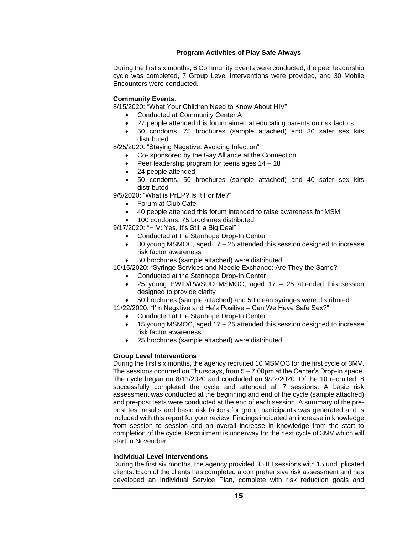## **Program Activities of Play Safe Always**

During the first six months, 6 Community Events were conducted, the peer leadership cycle was completed, 7 Group Level Interventions were provided, and 30 Mobile Encounters were conducted.

#### **Community Events**:

8/15/2020: "What Your Children Need to Know About HIV"

- Conducted at Community Center A
- 27 people attended this forum aimed at educating parents on risk factors
- 50 condoms, 75 brochures (sample attached) and 30 safer sex kits distributed

8/25/2020: "Staying Negative: Avoiding Infection"

- Co- sponsored by the Gay Alliance at the Connection.
- Peer leadership program for teens ages 14 18
- 24 people attended
- 50 condoms, 50 brochures (sample attached) and 40 safer sex kits distributed

9/5/2020: "What is PrEP? Is It For Me?"

- Forum at Club Café
- 40 people attended this forum intended to raise awareness for MSM
- 100 condoms, 75 brochures distributed

9/17/2020: "HIV: Yes, It's Still a Big Deal"

- Conducted at the Stanhope Drop-In Center
- 30 young MSMOC, aged 17 25 attended this session designed to increase risk factor awareness
- 50 brochures (sample attached) were distributed

10/15/2020: "Syringe Services and Needle Exchange: Are They the Same?"

- Conducted at the Stanhope Drop-In Center
- 25 young PWID/PWSUD MSMOC, aged  $17 25$  attended this session designed to provide clarity

• 50 brochures (sample attached) and 50 clean syringes were distributed

11/22/2020: "I'm Negative and He's Positive – Can We Have Safe Sex?"

- Conducted at the Stanhope Drop-In Center
- 15 young MSMOC, aged 17 25 attended this session designed to increase risk factor awareness
- 25 brochures (sample attached) were distributed

#### **Group Level Interventions**

During the first six months, the agency recruited 10 MSMOC for the first cycle of 3MV. The sessions occurred on Thursdays, from 5 – 7:00pm at the Center's Drop-In space. The cycle began on 8/11/2020 and concluded on 9/22/2020. Of the 10 recruited, 8 successfully completed the cycle and attended all 7 sessions. A basic risk assessment was conducted at the beginning and end of the cycle (sample attached) and pre-post tests were conducted at the end of each session. A summary of the prepost test results and basic risk factors for group participants was generated and is included with this report for your review. Findings indicated an increase in knowledge from session to session and an overall increase in knowledge from the start to completion of the cycle. Recruitment is underway for the next cycle of 3MV which will start in November.

#### **Individual Level Interventions**

During the first six months, the agency provided 35 ILI sessions with 15 unduplicated clients. Each of the clients has completed a comprehensive risk assessment and has developed an Individual Service Plan, complete with risk reduction goals and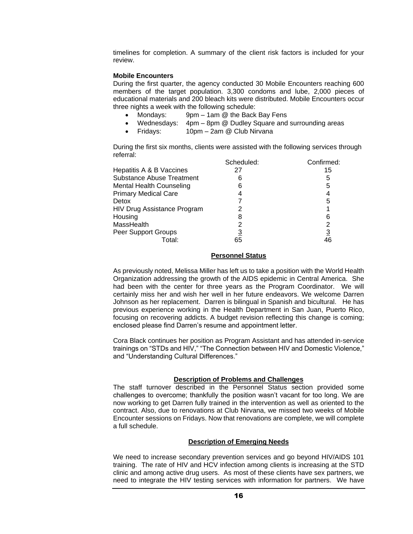timelines for completion. A summary of the client risk factors is included for your review.

## **Mobile Encounters**

During the first quarter, the agency conducted 30 Mobile Encounters reaching 600 members of the target population. 3,300 condoms and lube, 2,000 pieces of educational materials and 200 bleach kits were distributed. Mobile Encounters occur three nights a week with the following schedule:

- Mondays: 9pm 1am @ the Back Bay Fens
- Wednesdays: 4pm 8pm @ Dudley Square and surrounding areas
- Fridays: 10pm 2am @ Club Nirvana

During the first six months, clients were assisted with the following services through referral:

| Scheduled:                       |    | Confirmed:     |  |
|----------------------------------|----|----------------|--|
| Hepatitis A & B Vaccines         | 27 | 15             |  |
| <b>Substance Abuse Treatment</b> | 6  | 5              |  |
| <b>Mental Health Counseling</b>  | 6  | 5              |  |
| <b>Primary Medical Care</b>      |    | 4              |  |
| Detox                            |    | 5              |  |
| HIV Drug Assistance Program      |    |                |  |
| Housing                          | 8  | 6              |  |
| MassHealth                       |    | 2              |  |
| Peer Support Groups              | 3  | $\frac{3}{46}$ |  |
| Гоtаl:                           | 65 |                |  |

## **Personnel Status**

As previously noted, Melissa Miller has left us to take a position with the World Health Organization addressing the growth of the AIDS epidemic in Central America. She had been with the center for three years as the Program Coordinator. We will certainly miss her and wish her well in her future endeavors. We welcome Darren Johnson as her replacement. Darren is bilingual in Spanish and bicultural. He has previous experience working in the Health Department in San Juan, Puerto Rico, focusing on recovering addicts. A budget revision reflecting this change is coming; enclosed please find Darren's resume and appointment letter.

Cora Black continues her position as Program Assistant and has attended in-service trainings on "STDs and HIV," "The Connection between HIV and Domestic Violence," and "Understanding Cultural Differences."

# **Description of Problems and Challenges**

The staff turnover described in the Personnel Status section provided some challenges to overcome; thankfully the position wasn't vacant for too long. We are now working to get Darren fully trained in the intervention as well as oriented to the contract. Also, due to renovations at Club Nirvana, we missed two weeks of Mobile Encounter sessions on Fridays. Now that renovations are complete, we will complete a full schedule.

# **Description of Emerging Needs**

We need to increase secondary prevention services and go beyond HIV/AIDS 101 training. The rate of HIV and HCV infection among clients is increasing at the STD clinic and among active drug users. As most of these clients have sex partners, we need to integrate the HIV testing services with information for partners. We have